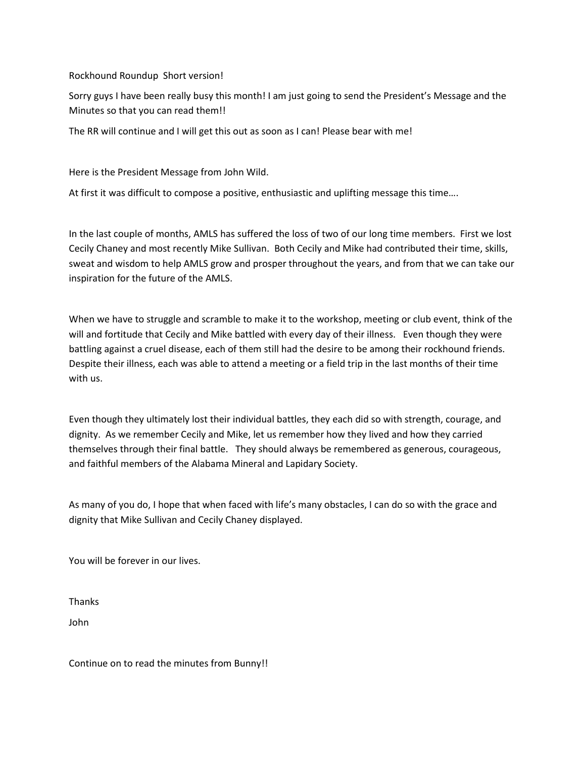Rockhound Roundup Short version!

Sorry guys I have been really busy this month! I am just going to send the President's Message and the Minutes so that you can read them!!

The RR will continue and I will get this out as soon as I can! Please bear with me!

Here is the President Message from John Wild.

At first it was difficult to compose a positive, enthusiastic and uplifting message this time….

In the last couple of months, AMLS has suffered the loss of two of our long time members. First we lost Cecily Chaney and most recently Mike Sullivan. Both Cecily and Mike had contributed their time, skills, sweat and wisdom to help AMLS grow and prosper throughout the years, and from that we can take our inspiration for the future of the AMLS.

When we have to struggle and scramble to make it to the workshop, meeting or club event, think of the will and fortitude that Cecily and Mike battled with every day of their illness. Even though they were battling against a cruel disease, each of them still had the desire to be among their rockhound friends. Despite their illness, each was able to attend a meeting or a field trip in the last months of their time with us.

Even though they ultimately lost their individual battles, they each did so with strength, courage, and dignity. As we remember Cecily and Mike, let us remember how they lived and how they carried themselves through their final battle. They should always be remembered as generous, courageous, and faithful members of the Alabama Mineral and Lapidary Society.

As many of you do, I hope that when faced with life's many obstacles, I can do so with the grace and dignity that Mike Sullivan and Cecily Chaney displayed.

You will be forever in our lives.

Thanks

John

Continue on to read the minutes from Bunny!!